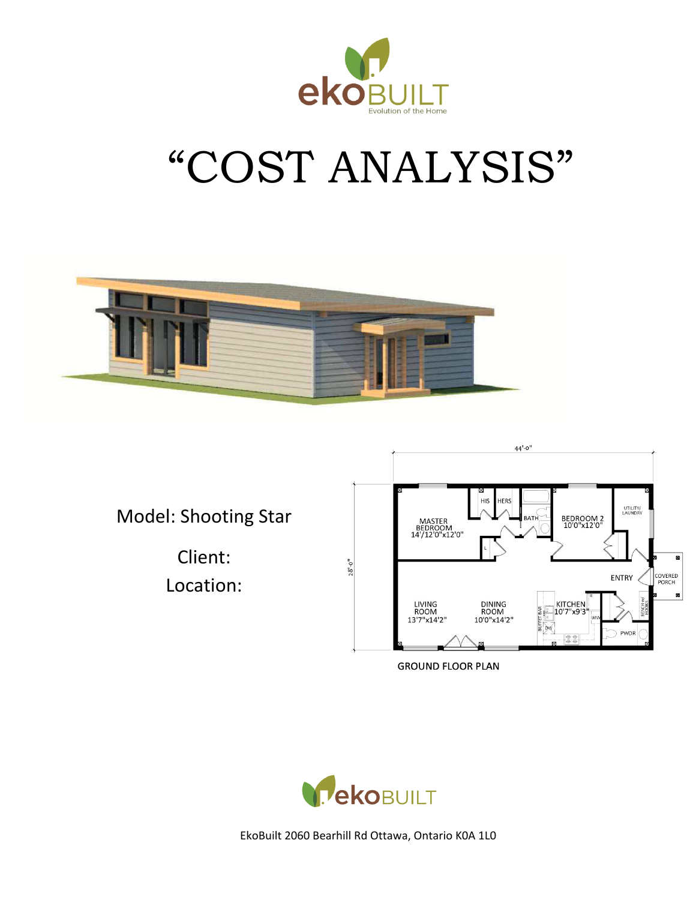

# "COST ANALYSIS"



Model: Shooting Star

Client: 

Location: 



**GROUND FLOOR PLAN** 

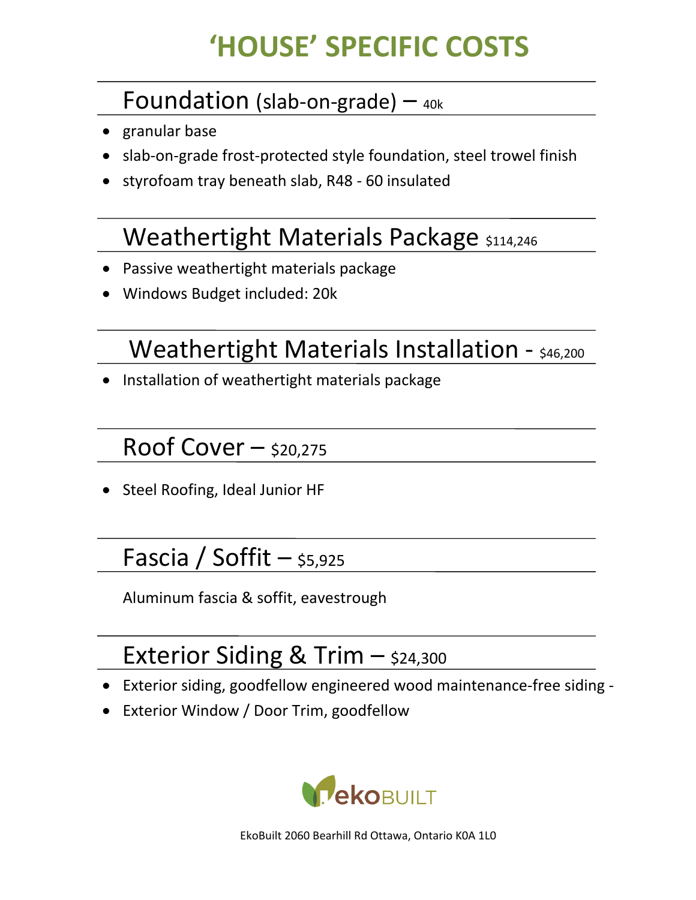# **'HOUSE' SPECIFIC COSTS**

#### Foundation (slab-on-grade)  $-$  40k

- granular base
- slab-on-grade frost-protected style foundation, steel trowel finish
- styrofoam tray beneath slab, R48 60 insulated

## Weathertight Materials Package \$114,246

- Passive weathertight materials package
- Windows Budget included: 20k

## Weathertight Materials Installation - \$46,200

• Installation of weathertight materials package

#### Roof Cover  $-$  \$20,275

• Steel Roofing, Ideal Junior HF

# Fascia / Soffit  $-$  \$5,925

Aluminum fascia & soffit, eavestrough

# Exterior Siding & Trim  $-$  \$24,300

- Exterior siding, goodfellow engineered wood maintenance-free siding -
- Exterior Window / Door Trim, goodfellow

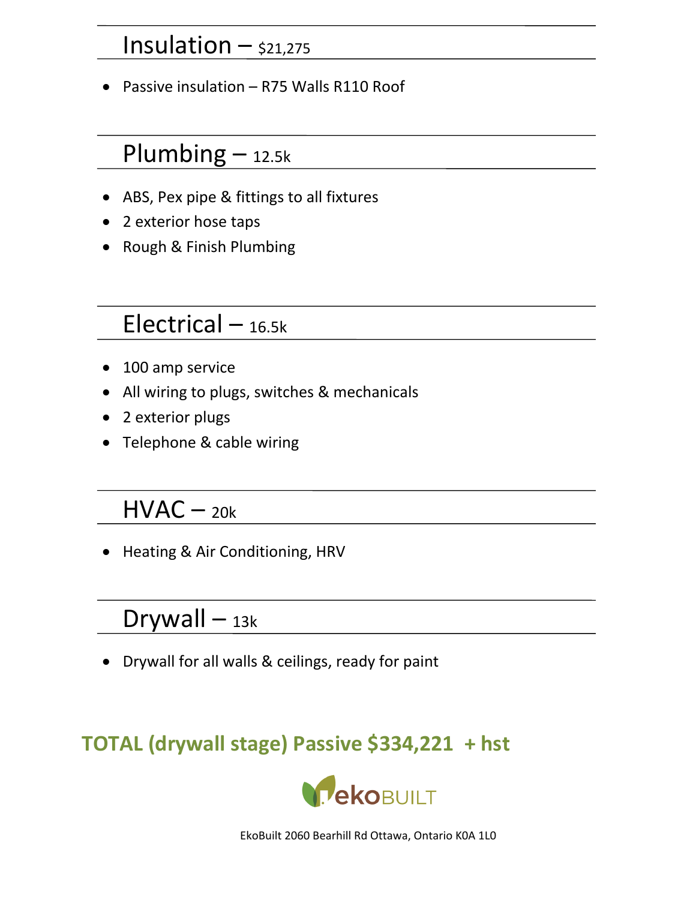#### Insulation  $-$  \$21,275

• Passive insulation – R75 Walls R110 Roof

#### $Plumbing - 12.5k$

- ABS, Pex pipe & fittings to all fixtures
- 2 exterior hose taps
- Rough & Finish Plumbing

#### Electrical – 16.5k

- 100 amp service
- All wiring to plugs, switches & mechanicals
- 2 exterior plugs
- Telephone & cable wiring

#### $HVAC - 20k$

• Heating & Air Conditioning, HRV

#### $Drywall - 13k$

• Drywall for all walls & ceilings, ready for paint

#### **TOTAL (drywall stage) Passive \$334,221 + hst**